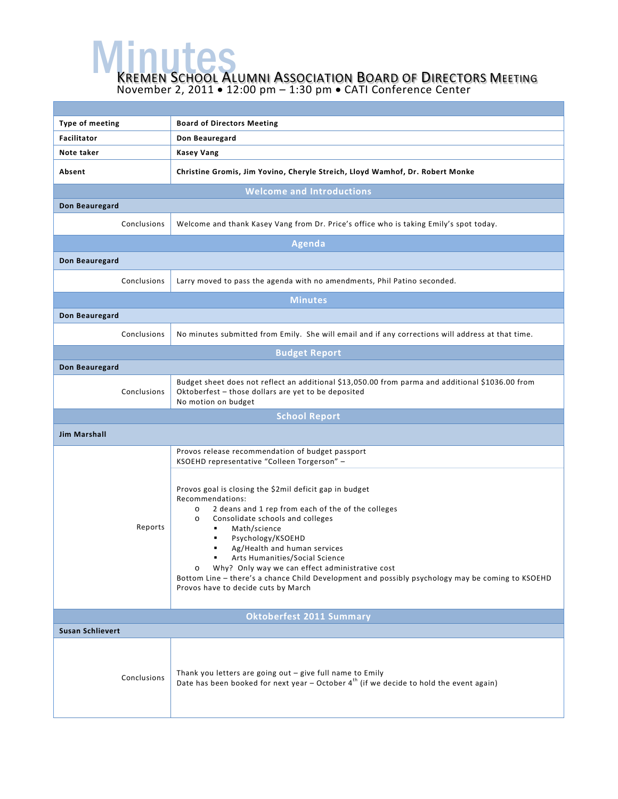**MENUTES**<br>KREMEN SCHOOL ALUMNI ASSOCIATION BOARD OF DIRECTORS MEETING

November 2, 2011 • 12:00 pm – 1:30 pm • CATI Conference Center

| Type of meeting                  | <b>Board of Directors Meeting</b>                                                                                                                                                                                                                                                                                                                                                                                                                                                                         |  |  |  |
|----------------------------------|-----------------------------------------------------------------------------------------------------------------------------------------------------------------------------------------------------------------------------------------------------------------------------------------------------------------------------------------------------------------------------------------------------------------------------------------------------------------------------------------------------------|--|--|--|
| <b>Facilitator</b>               | Don Beauregard                                                                                                                                                                                                                                                                                                                                                                                                                                                                                            |  |  |  |
| Note taker                       | <b>Kasey Vang</b>                                                                                                                                                                                                                                                                                                                                                                                                                                                                                         |  |  |  |
| Absent                           | Christine Gromis, Jim Yovino, Cheryle Streich, Lloyd Wamhof, Dr. Robert Monke                                                                                                                                                                                                                                                                                                                                                                                                                             |  |  |  |
| <b>Welcome and Introductions</b> |                                                                                                                                                                                                                                                                                                                                                                                                                                                                                                           |  |  |  |
| Don Beauregard                   |                                                                                                                                                                                                                                                                                                                                                                                                                                                                                                           |  |  |  |
| Conclusions                      | Welcome and thank Kasey Vang from Dr. Price's office who is taking Emily's spot today.                                                                                                                                                                                                                                                                                                                                                                                                                    |  |  |  |
|                                  | <b>Agenda</b>                                                                                                                                                                                                                                                                                                                                                                                                                                                                                             |  |  |  |
| Don Beauregard                   |                                                                                                                                                                                                                                                                                                                                                                                                                                                                                                           |  |  |  |
| Conclusions                      | Larry moved to pass the agenda with no amendments, Phil Patino seconded.                                                                                                                                                                                                                                                                                                                                                                                                                                  |  |  |  |
| <b>Minutes</b>                   |                                                                                                                                                                                                                                                                                                                                                                                                                                                                                                           |  |  |  |
| Don Beauregard                   |                                                                                                                                                                                                                                                                                                                                                                                                                                                                                                           |  |  |  |
| Conclusions                      | No minutes submitted from Emily. She will email and if any corrections will address at that time.                                                                                                                                                                                                                                                                                                                                                                                                         |  |  |  |
| <b>Budget Report</b>             |                                                                                                                                                                                                                                                                                                                                                                                                                                                                                                           |  |  |  |
| Don Beauregard                   |                                                                                                                                                                                                                                                                                                                                                                                                                                                                                                           |  |  |  |
| Conclusions                      | Budget sheet does not reflect an additional \$13,050.00 from parma and additional \$1036.00 from<br>Oktoberfest - those dollars are yet to be deposited<br>No motion on budget                                                                                                                                                                                                                                                                                                                            |  |  |  |
|                                  | <b>School Report</b>                                                                                                                                                                                                                                                                                                                                                                                                                                                                                      |  |  |  |
| <b>Jim Marshall</b>              |                                                                                                                                                                                                                                                                                                                                                                                                                                                                                                           |  |  |  |
| Reports                          | Provos release recommendation of budget passport<br>KSOEHD representative "Colleen Torgerson" -                                                                                                                                                                                                                                                                                                                                                                                                           |  |  |  |
|                                  | Provos goal is closing the \$2mil deficit gap in budget<br>Recommendations:<br>2 deans and 1 rep from each of the of the colleges<br>O<br>Consolidate schools and colleges<br>$\circ$<br>Math/science<br>٠<br>Psychology/KSOEHD<br>Ag/Health and human services<br>٠<br>Arts Humanities/Social Science<br>Why? Only way we can effect administrative cost<br>O<br>Bottom Line – there's a chance Child Development and possibly psychology may be coming to KSOEHD<br>Provos have to decide cuts by March |  |  |  |
|                                  | <b>Oktoberfest 2011 Summary</b>                                                                                                                                                                                                                                                                                                                                                                                                                                                                           |  |  |  |
| <b>Susan Schlievert</b>          |                                                                                                                                                                                                                                                                                                                                                                                                                                                                                                           |  |  |  |
| Conclusions                      | Thank you letters are going out - give full name to Emily<br>Date has been booked for next year $-$ October $4^{th}$ (if we decide to hold the event again)                                                                                                                                                                                                                                                                                                                                               |  |  |  |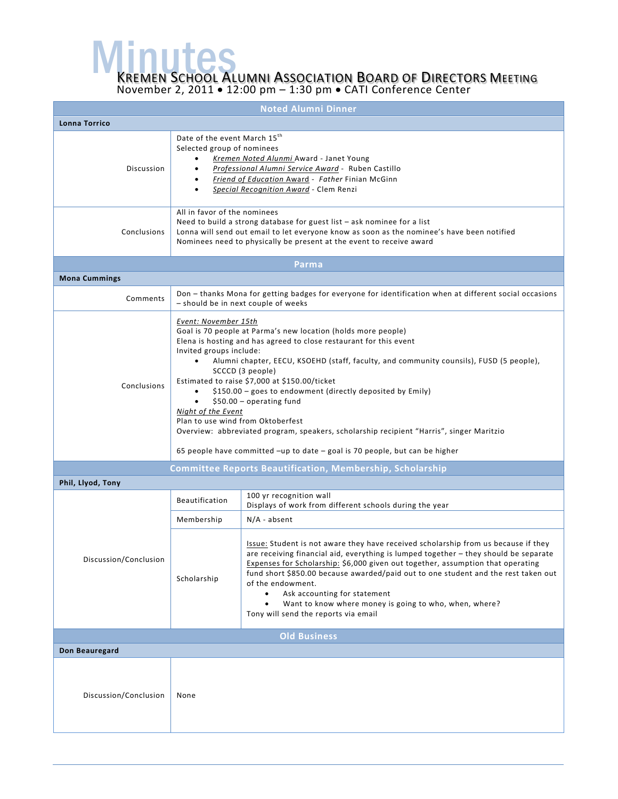**MENUTES**<br>KREMEN SCHOOL ALUMNI ASSOCIATION BOARD OF DIRECTORS MEETING

November 2, 2011 • 12:00 pm – 1:30 pm • CATI Conference Center

| <b>Noted Alumni Dinner</b> |                                                                                                                                                                                                                                                                                                                                                                                                                                                                                                                                                                                                                                                                                                      |                                                                                                                                                                                                                                                                                                                                                                                                                                                                                                                         |  |  |  |
|----------------------------|------------------------------------------------------------------------------------------------------------------------------------------------------------------------------------------------------------------------------------------------------------------------------------------------------------------------------------------------------------------------------------------------------------------------------------------------------------------------------------------------------------------------------------------------------------------------------------------------------------------------------------------------------------------------------------------------------|-------------------------------------------------------------------------------------------------------------------------------------------------------------------------------------------------------------------------------------------------------------------------------------------------------------------------------------------------------------------------------------------------------------------------------------------------------------------------------------------------------------------------|--|--|--|
| Lonna Torrico              |                                                                                                                                                                                                                                                                                                                                                                                                                                                                                                                                                                                                                                                                                                      |                                                                                                                                                                                                                                                                                                                                                                                                                                                                                                                         |  |  |  |
| Discussion                 | Date of the event March 15 <sup>th</sup><br>Selected group of nominees<br>$\bullet$                                                                                                                                                                                                                                                                                                                                                                                                                                                                                                                                                                                                                  | Kremen Noted Alunmi Award - Janet Young<br>Professional Alumni Service Award - Ruben Castillo<br>Friend of Education Award - Father Finian McGinn<br>Special Recognition Award - Clem Renzi                                                                                                                                                                                                                                                                                                                             |  |  |  |
| Conclusions                | All in favor of the nominees<br>Need to build a strong database for guest list - ask nominee for a list<br>Lonna will send out email to let everyone know as soon as the nominee's have been notified<br>Nominees need to physically be present at the event to receive award                                                                                                                                                                                                                                                                                                                                                                                                                        |                                                                                                                                                                                                                                                                                                                                                                                                                                                                                                                         |  |  |  |
|                            |                                                                                                                                                                                                                                                                                                                                                                                                                                                                                                                                                                                                                                                                                                      | Parma                                                                                                                                                                                                                                                                                                                                                                                                                                                                                                                   |  |  |  |
| <b>Mona Cummings</b>       |                                                                                                                                                                                                                                                                                                                                                                                                                                                                                                                                                                                                                                                                                                      |                                                                                                                                                                                                                                                                                                                                                                                                                                                                                                                         |  |  |  |
| Comments                   | Don - thanks Mona for getting badges for everyone for identification when at different social occasions<br>- should be in next couple of weeks                                                                                                                                                                                                                                                                                                                                                                                                                                                                                                                                                       |                                                                                                                                                                                                                                                                                                                                                                                                                                                                                                                         |  |  |  |
| Conclusions                | Event: November 15th<br>Goal is 70 people at Parma's new location (holds more people)<br>Elena is hosting and has agreed to close restaurant for this event<br>Invited groups include:<br>Alumni chapter, EECU, KSOEHD (staff, faculty, and community counsils), FUSD (5 people),<br>$\bullet$<br>SCCCD (3 people)<br>Estimated to raise \$7,000 at \$150.00/ticket<br>\$150.00 - goes to endowment (directly deposited by Emily)<br>$$50.00 - operating fund$<br>Night of the Event<br>Plan to use wind from Oktoberfest<br>Overview: abbreviated program, speakers, scholarship recipient "Harris", singer Maritzio<br>65 people have committed -up to date - goal is 70 people, but can be higher |                                                                                                                                                                                                                                                                                                                                                                                                                                                                                                                         |  |  |  |
|                            |                                                                                                                                                                                                                                                                                                                                                                                                                                                                                                                                                                                                                                                                                                      | Committee Reports Beautification, Membership, Scholarship                                                                                                                                                                                                                                                                                                                                                                                                                                                               |  |  |  |
| Phil, Llyod, Tony          |                                                                                                                                                                                                                                                                                                                                                                                                                                                                                                                                                                                                                                                                                                      |                                                                                                                                                                                                                                                                                                                                                                                                                                                                                                                         |  |  |  |
|                            | <b>Beautification</b>                                                                                                                                                                                                                                                                                                                                                                                                                                                                                                                                                                                                                                                                                | 100 yr recognition wall<br>Displays of work from different schools during the year                                                                                                                                                                                                                                                                                                                                                                                                                                      |  |  |  |
|                            | Membership                                                                                                                                                                                                                                                                                                                                                                                                                                                                                                                                                                                                                                                                                           | $N/A$ - absent                                                                                                                                                                                                                                                                                                                                                                                                                                                                                                          |  |  |  |
| Discussion/Conclusion      | Scholarship                                                                                                                                                                                                                                                                                                                                                                                                                                                                                                                                                                                                                                                                                          | Issue: Student is not aware they have received scholarship from us because if they<br>are receiving financial aid, everything is lumped together – they should be separate<br>Expenses for Scholarship: \$6,000 given out together, assumption that operating<br>fund short \$850.00 because awarded/paid out to one student and the rest taken out<br>of the endowment.<br>Ask accounting for statement<br>Want to know where money is going to who, when, where?<br>$\bullet$<br>Tony will send the reports via email |  |  |  |
| <b>Old Business</b>        |                                                                                                                                                                                                                                                                                                                                                                                                                                                                                                                                                                                                                                                                                                      |                                                                                                                                                                                                                                                                                                                                                                                                                                                                                                                         |  |  |  |
| Don Beauregard             |                                                                                                                                                                                                                                                                                                                                                                                                                                                                                                                                                                                                                                                                                                      |                                                                                                                                                                                                                                                                                                                                                                                                                                                                                                                         |  |  |  |
| Discussion/Conclusion      | None                                                                                                                                                                                                                                                                                                                                                                                                                                                                                                                                                                                                                                                                                                 |                                                                                                                                                                                                                                                                                                                                                                                                                                                                                                                         |  |  |  |